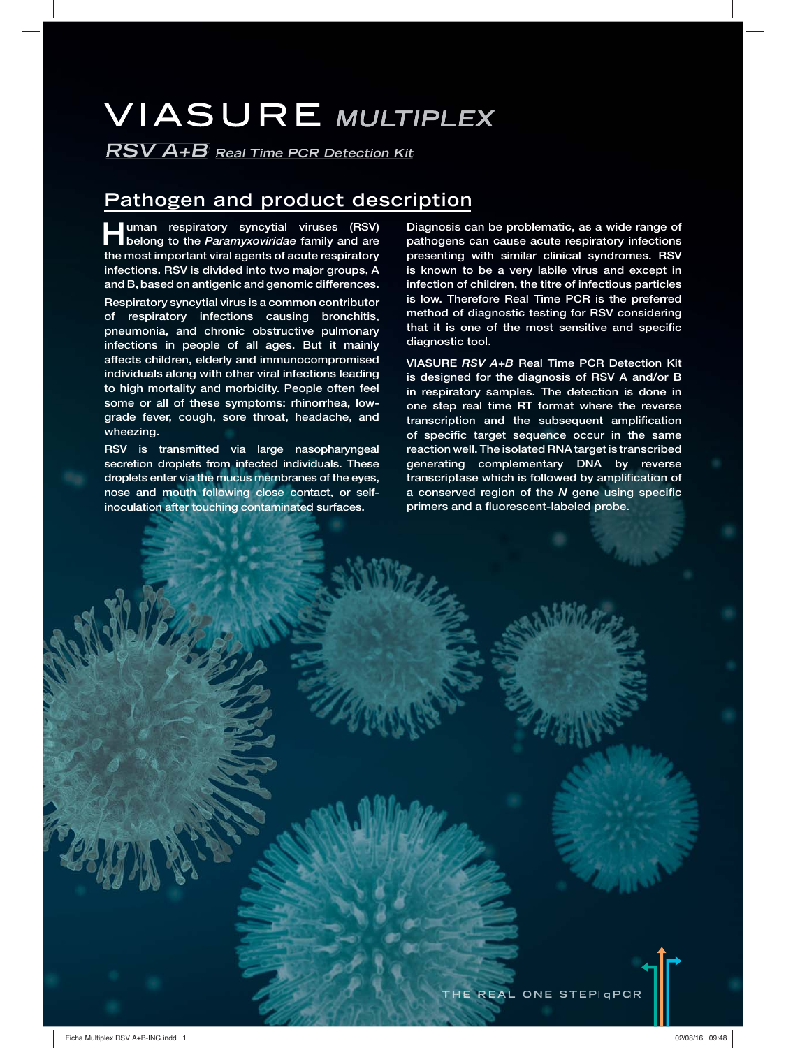# **VIASURE MULTIPLEX**

**RSV A+B Real Time PCR Detection Kit**

# **Pathogen and product description**

**Human respiratory syncytial viruses (RSV) belong to the** *Paramyxoviridae* **family and are the most important viral agents of acute respiratory infections. RSV is divided into two major groups, A and B, based on antigenic and genomic differences.**

**Respiratory syncytial virus is a common contributor of respiratory infections causing bronchitis, pneumonia, and chronic obstructive pulmonary infections in people of all ages. But it mainly affects children, elderly and immunocompromised individuals along with other viral infections leading to high mortality and morbidity. People often feel some or all of these symptoms: rhinorrhea, lowgrade fever, cough, sore throat, headache, and wheezing.**

**RSV is transmitted via large nasopharyngeal secretion droplets from infected individuals. These droplets enter via the mucus membranes of the eyes, nose and mouth following close contact, or selfinoculation after touching contaminated surfaces.**

**Diagnosis can be problematic, as a wide range of pathogens can cause acute respiratory infections presenting with similar clinical syndromes. RSV is known to be a very labile virus and except in infection of children, the titre of infectious particles is low. Therefore Real Time PCR is the preferred method of diagnostic testing for RSV considering that it is one of the most sensitive and specific diagnostic tool.**

**VIASURE** *RSV A+B* **Real Time PCR Detection Kit is designed for the diagnosis of RSV A and/or B in respiratory samples. The detection is done in one step real time RT format where the reverse transcription and the subsequent amplification of specific target sequence occur in the same reaction well. The isolated RNA target is transcribed generating complementary DNA by reverse transcriptase which is followed by amplification of a conserved region of the** *N* **gene using specific primers and a fluorescent-labeled probe.**